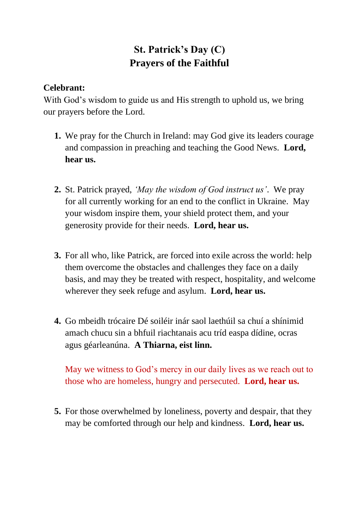## **St. Patrick's Day (C) Prayers of the Faithful**

## **Celebrant:**

With God's wisdom to guide us and His strength to uphold us, we bring our prayers before the Lord.

- **1.** We pray for the Church in Ireland: may God give its leaders courage and compassion in preaching and teaching the Good News. **Lord, hear us.**
- **2.** St. Patrick prayed, *'May the wisdom of God instruct us'*. We pray for all currently working for an end to the conflict in Ukraine. May your wisdom inspire them, your shield protect them, and your generosity provide for their needs. **Lord, hear us.**
- **3.** For all who, like Patrick, are forced into exile across the world: help them overcome the obstacles and challenges they face on a daily basis, and may they be treated with respect, hospitality, and welcome wherever they seek refuge and asylum. **Lord, hear us.**
- **4.** Go mbeidh trócaire Dé soiléir inár saol laethúil sa chuí a shínimid amach chucu sin a bhfuil riachtanais acu tríd easpa dídine, ocras agus géarleanúna. **A Thiarna, eist linn.**

May we witness to God's mercy in our daily lives as we reach out to those who are homeless, hungry and persecuted. **Lord, hear us.**

**5.** For those overwhelmed by loneliness, poverty and despair, that they may be comforted through our help and kindness. **Lord, hear us.**